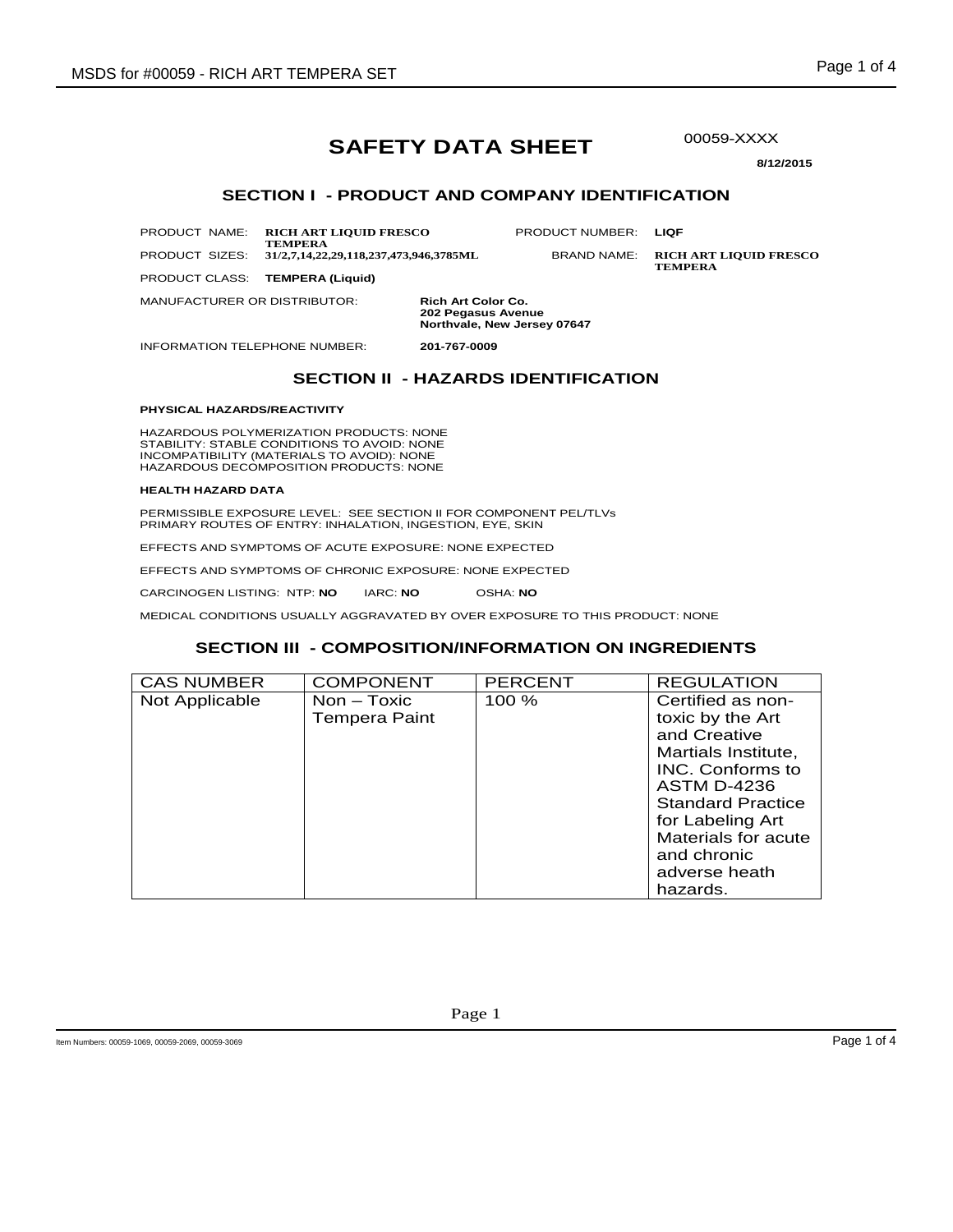# **SAFETY DATA SHEET**

00059-XXXX

**8/12/2015** 

### **SECTION I - PRODUCT AND COMPANY IDENTIFICATION**

PRODUCT NAME: **RICH ART LIQUID FRESCO TEMPERA**

PRODUCT NUMBER: **LIQF**

PRODUCT SIZES: **31/2,7,14,22,29,118,237,473,946,3785ML** BRAND NAME: **RICH ART LIQUID FRESCO TEMPERA**

MANUFACTURER OR DISTRIBUTOR: **Rich Art Color Co. 202 Pegasus Avenue Northvale, New Jersey 07647**

INFORMATION TELEPHONE NUMBER: **201-767-0009**

PRODUCT CLASS: **TEMPERA (Liquid)**

# **SECTION II - HAZARDS IDENTIFICATION**

#### **PHYSICAL HAZARDS/REACTIVITY**

HAZARDOUS POLYMERIZATION PRODUCTS: NONE STABILITY: STABLE CONDITIONS TO AVOID: NONE INCOMPATIBILITY (MATERIALS TO AVOID): NONE HAZARDOUS DECOMPOSITION PRODUCTS: NONE

#### **HEALTH HAZARD DATA**

PERMISSIBLE EXPOSURE LEVEL: SEE SECTION II FOR COMPONENT PEL/TLVs PRIMARY ROUTES OF ENTRY: INHALATION, INGESTION, EYE, SKIN

EFFECTS AND SYMPTOMS OF ACUTE EXPOSURE: NONE EXPECTED

EFFECTS AND SYMPTOMS OF CHRONIC EXPOSURE: NONE EXPECTED

CARCINOGEN LISTING: NTP: **NO** IARC: **NO** OSHA: **NO**

MEDICAL CONDITIONS USUALLY AGGRAVATED BY OVER EXPOSURE TO THIS PRODUCT: NONE

### **SECTION III - COMPOSITION/INFORMATION ON INGREDIENTS**

| <b>CAS NUMBER</b> | <b>COMPONENT</b>                      | <b>PERCENT</b> | <b>REGULATION</b>                                                                                                                                         |
|-------------------|---------------------------------------|----------------|-----------------------------------------------------------------------------------------------------------------------------------------------------------|
| Not Applicable    | $Non - Toxic$<br><b>Tempera Paint</b> | $100 \%$       | Certified as non-<br>toxic by the Art<br>and Creative<br>Martials Institute,                                                                              |
|                   |                                       |                | INC. Conforms to<br><b>ASTM D-4236</b><br><b>Standard Practice</b><br>for Labeling Art<br>Materials for acute<br>and chronic<br>adverse heath<br>hazards. |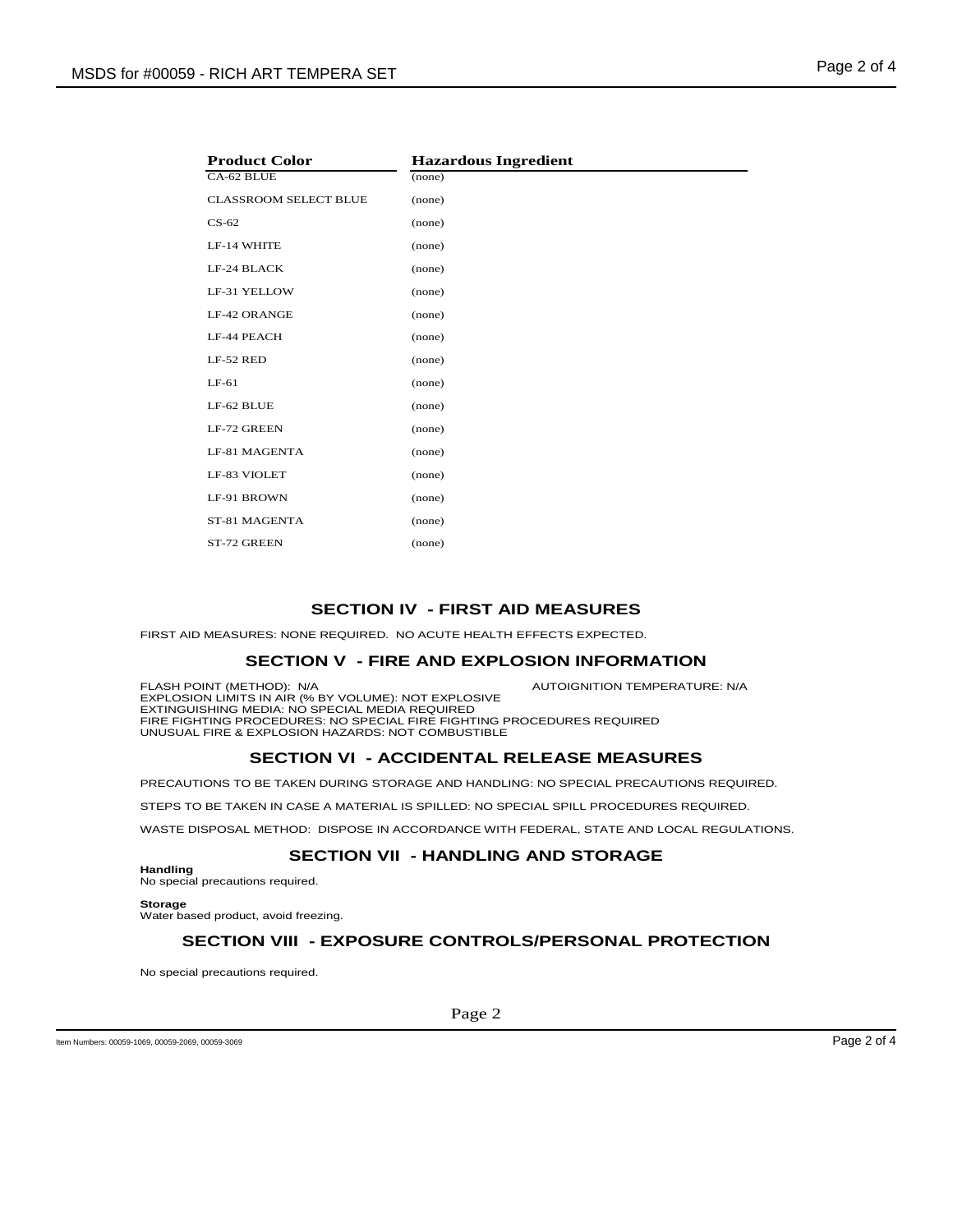|  | ay <del>o</del> 4 Ui |  |  |
|--|----------------------|--|--|
|  |                      |  |  |

| <b>Product Color</b>         | <b>Hazardous Ingredient</b> |
|------------------------------|-----------------------------|
| CA-62 BLUE                   | (none)                      |
| <b>CLASSROOM SELECT BLUE</b> | (none)                      |
| $CS-62$                      | (none)                      |
| LF-14 WHITE                  | (none)                      |
| LF-24 BLACK                  | (none)                      |
| LF-31 YELLOW                 | (none)                      |
| LF-42 ORANGE                 | (none)                      |
| LF-44 PEACH                  | (none)                      |
| LF-52 RED                    | (none)                      |
| $LF-61$                      | (none)                      |
| LF-62 BLUE                   | (none)                      |
| LF-72 GREEN                  | (none)                      |
| LF-81 MAGENTA                | (none)                      |
| LF-83 VIOLET                 | (none)                      |
| LF-91 BROWN                  | (none)                      |
| ST-81 MAGENTA                | (none)                      |
| ST-72 GREEN                  | (none)                      |

# **SECTION IV - FIRST AID MEASURES**

FIRST AID MEASURES: NONE REQUIRED. NO ACUTE HEALTH EFFECTS EXPECTED.

### **SECTION V - FIRE AND EXPLOSION INFORMATION**

FLASH POINT (METHOD): N/A **AUTOIGNITION TEMPERATURE: N/A** 

EXPLOSION LIMITS IN AIR (% BY VOLUME): NOT EXPLOSIVE EXTINGUISHING MEDIA: NO SPECIAL MEDIA REQUIRED FIRE FIGHTING PROCEDURES: NO SPECIAL FIRE FIGHTING PROCEDURES REQUIRED UNUSUAL FIRE & EXPLOSION HAZARDS: NOT COMBUSTIBLE

### **SECTION VI - ACCIDENTAL RELEASE MEASURES**

PRECAUTIONS TO BE TAKEN DURING STORAGE AND HANDLING: NO SPECIAL PRECAUTIONS REQUIRED.

STEPS TO BE TAKEN IN CASE A MATERIAL IS SPILLED: NO SPECIAL SPILL PROCEDURES REQUIRED.

WASTE DISPOSAL METHOD: DISPOSE IN ACCORDANCE WITH FEDERAL, STATE AND LOCAL REGULATIONS.

# **SECTION VII - HANDLING AND STORAGE**

**Handling**

No special precautions required.

**Storage**

Water based product, avoid freezing.

# **SECTION VIII - EXPOSURE CONTROLS/PERSONAL PROTECTION**

No special precautions required.

Item Numbers: 00059-1069, 00059-2069, 00059-3069 Page 2 of 4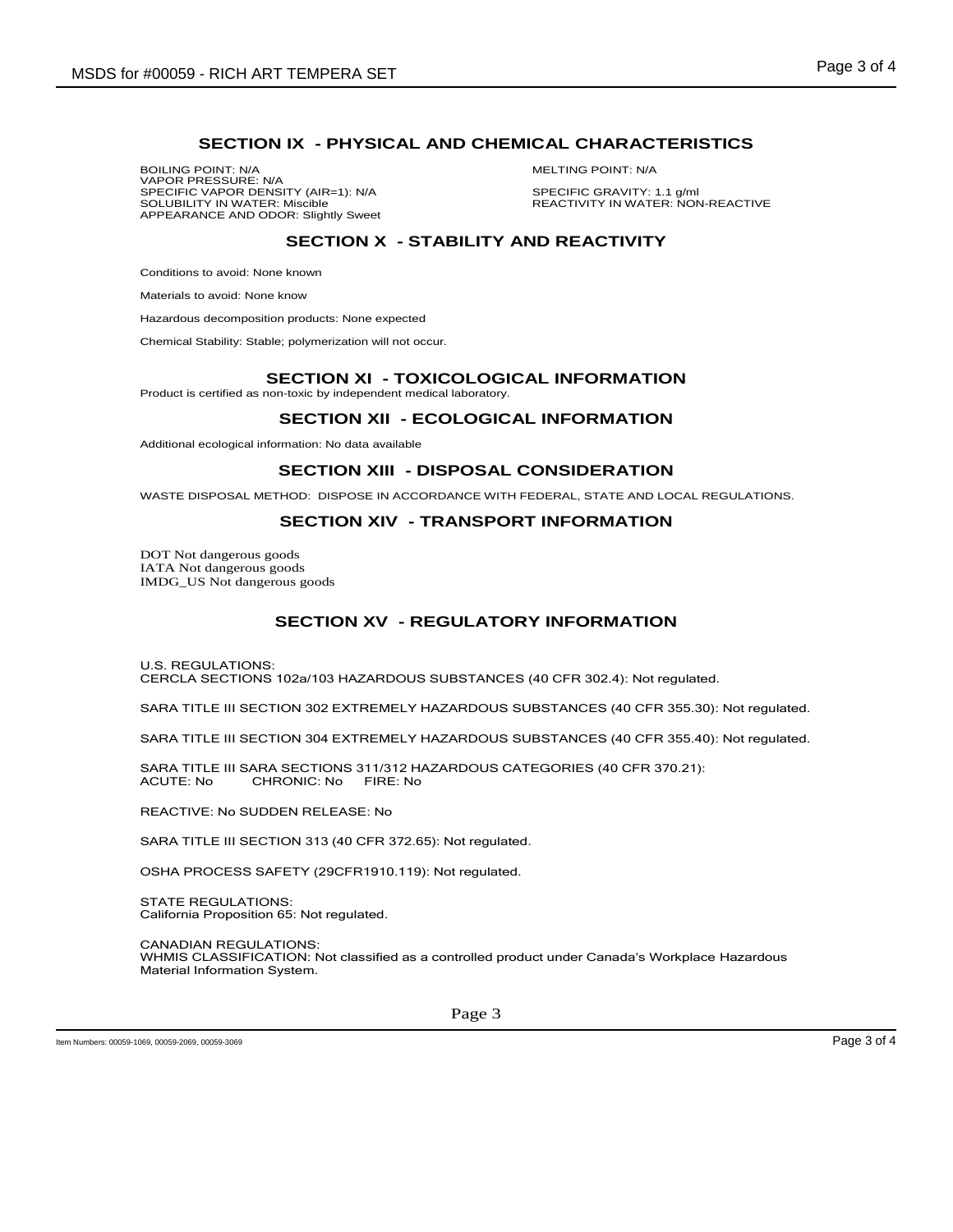# **SECTION IX - PHYSICAL AND CHEMICAL CHARACTERISTICS**

BOILING POINT: N/A MELTING POINT: N/A VAPOR PRESSURE: N/A SPECIFIC VAPOR DENSITY (AIR=1): N/A SPECIFIC GRAVITY: 1.1 g/ml<br>SOLUBILITY IN WATER: Miscible SPEAR SOLUBILITY IN WATER: NON APPEARANCE AND ODOR: Slightly Sweet

REACTIVITY IN WATER: NON-REACTIVE

# **SECTION X - STABILITY AND REACTIVITY**

Conditions to avoid: None known

Materials to avoid: None know

Hazardous decomposition products: None expected

Chemical Stability: Stable; polymerization will not occur.

#### **SECTION XI - TOXICOLOGICAL INFORMATION**

Product is certified as non-toxic by independent medical laboratory.

### **SECTION XII - ECOLOGICAL INFORMATION**

Additional ecological information: No data available

### **SECTION XIII - DISPOSAL CONSIDERATION**

WASTE DISPOSAL METHOD: DISPOSE IN ACCORDANCE WITH FEDERAL, STATE AND LOCAL REGULATIONS.

# **SECTION XIV - TRANSPORT INFORMATION**

DOT Not dangerous goods IATA Not dangerous goods IMDG\_US Not dangerous goods

# **SECTION XV - REGULATORY INFORMATION**

U.S. REGULATIONS: CERCLA SECTIONS 102a/103 HAZARDOUS SUBSTANCES (40 CFR 302.4): Not regulated.

SARA TITLE III SECTION 302 EXTREMELY HAZARDOUS SUBSTANCES (40 CFR 355.30): Not regulated.

SARA TITLE III SECTION 304 EXTREMELY HAZARDOUS SUBSTANCES (40 CFR 355.40): Not regulated.

SARA TITLE III SARA SECTIONS 311/312 HAZARDOUS CATEGORIES (40 CFR 370.21):<br>ACUTE: No CHRONIC: No FIRE: No CHRONIC: No

REACTIVE: No SUDDEN RELEASE: No

SARA TITLE III SECTION 313 (40 CFR 372.65): Not regulated.

OSHA PROCESS SAFETY (29CFR1910.119): Not regulated.

STATE REGULATIONS: California Proposition 65: Not regulated.

CANADIAN REGULATIONS:

WHMIS CLASSIFICATION: Not classified as a controlled product under Canada's Workplace Hazardous Material Information System.

Item Numbers: 00059-1069, 00059-2069, 00059-3069 Page 3 of 4